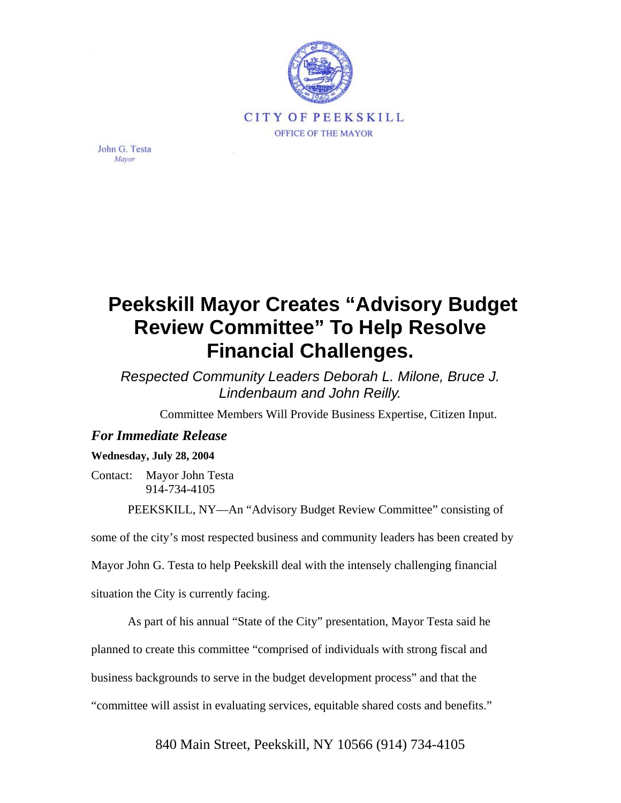

John G. Testa Mayor

## **Peekskill Mayor Creates "Advisory Budget Review Committee" To Help Resolve Financial Challenges.**

*Respected Community Leaders Deborah L. Milone, Bruce J. Lindenbaum and John Reilly.*

Committee Members Will Provide Business Expertise, Citizen Input.

## *For Immediate Release*

## **Wednesday, July 28, 2004**

Contact: Mayor John Testa 914-734-4105

PEEKSKILL, NY—An "Advisory Budget Review Committee" consisting of

some of the city's most respected business and community leaders has been created by

Mayor John G. Testa to help Peekskill deal with the intensely challenging financial

situation the City is currently facing.

As part of his annual "State of the City" presentation, Mayor Testa said he planned to create this committee "comprised of individuals with strong fiscal and business backgrounds to serve in the budget development process" and that the "committee will assist in evaluating services, equitable shared costs and benefits."

840 Main Street, Peekskill, NY 10566 (914) 734-4105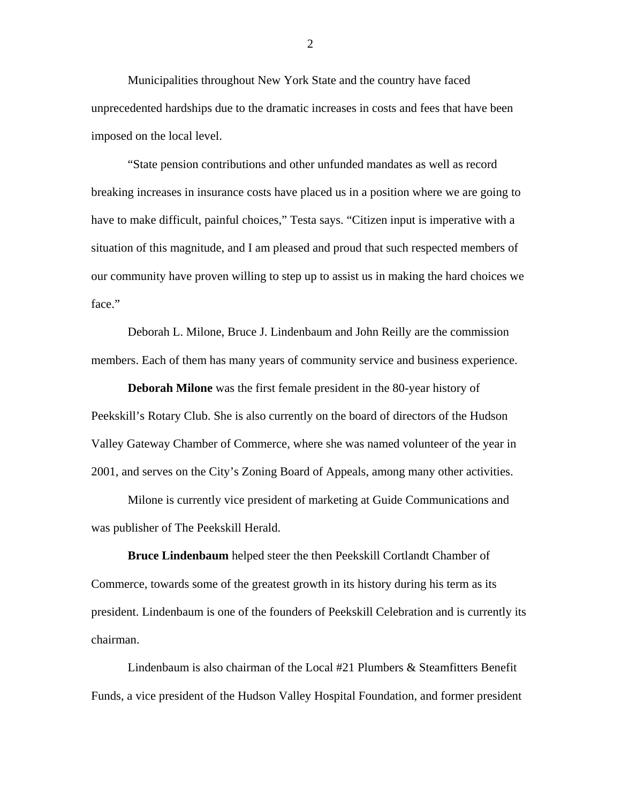Municipalities throughout New York State and the country have faced unprecedented hardships due to the dramatic increases in costs and fees that have been imposed on the local level.

"State pension contributions and other unfunded mandates as well as record breaking increases in insurance costs have placed us in a position where we are going to have to make difficult, painful choices," Testa says. "Citizen input is imperative with a situation of this magnitude, and I am pleased and proud that such respected members of our community have proven willing to step up to assist us in making the hard choices we face."

Deborah L. Milone, Bruce J. Lindenbaum and John Reilly are the commission members. Each of them has many years of community service and business experience.

**Deborah Milone** was the first female president in the 80-year history of Peekskill's Rotary Club. She is also currently on the board of directors of the Hudson Valley Gateway Chamber of Commerce, where she was named volunteer of the year in 2001, and serves on the City's Zoning Board of Appeals, among many other activities.

Milone is currently vice president of marketing at Guide Communications and was publisher of The Peekskill Herald.

**Bruce Lindenbaum** helped steer the then Peekskill Cortlandt Chamber of Commerce, towards some of the greatest growth in its history during his term as its president. Lindenbaum is one of the founders of Peekskill Celebration and is currently its chairman.

Lindenbaum is also chairman of the Local #21 Plumbers & Steamfitters Benefit Funds, a vice president of the Hudson Valley Hospital Foundation, and former president

2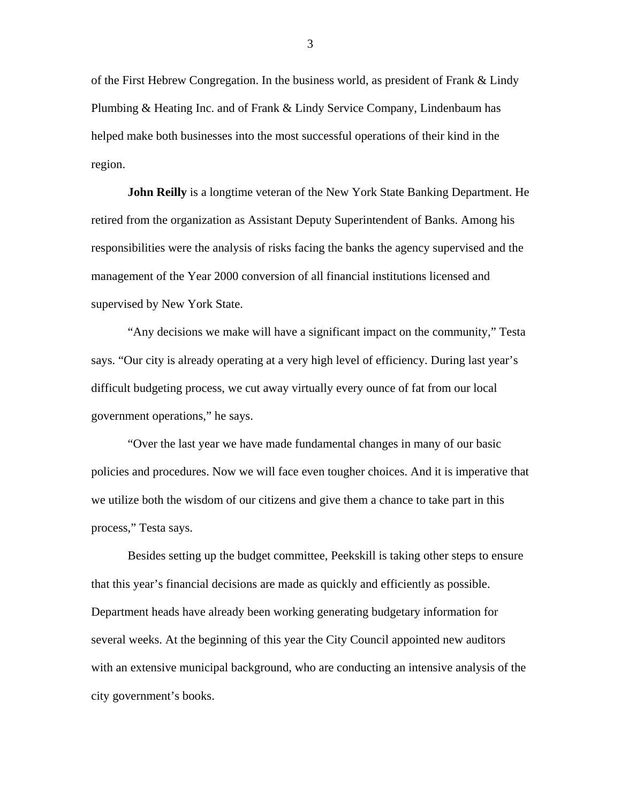of the First Hebrew Congregation. In the business world, as president of Frank & Lindy Plumbing & Heating Inc. and of Frank & Lindy Service Company, Lindenbaum has helped make both businesses into the most successful operations of their kind in the region.

**John Reilly** is a longtime veteran of the New York State Banking Department. He retired from the organization as Assistant Deputy Superintendent of Banks. Among his responsibilities were the analysis of risks facing the banks the agency supervised and the management of the Year 2000 conversion of all financial institutions licensed and supervised by New York State.

"Any decisions we make will have a significant impact on the community," Testa says. "Our city is already operating at a very high level of efficiency. During last year's difficult budgeting process, we cut away virtually every ounce of fat from our local government operations," he says.

"Over the last year we have made fundamental changes in many of our basic policies and procedures. Now we will face even tougher choices. And it is imperative that we utilize both the wisdom of our citizens and give them a chance to take part in this process," Testa says.

Besides setting up the budget committee, Peekskill is taking other steps to ensure that this year's financial decisions are made as quickly and efficiently as possible. Department heads have already been working generating budgetary information for several weeks. At the beginning of this year the City Council appointed new auditors with an extensive municipal background, who are conducting an intensive analysis of the city government's books.